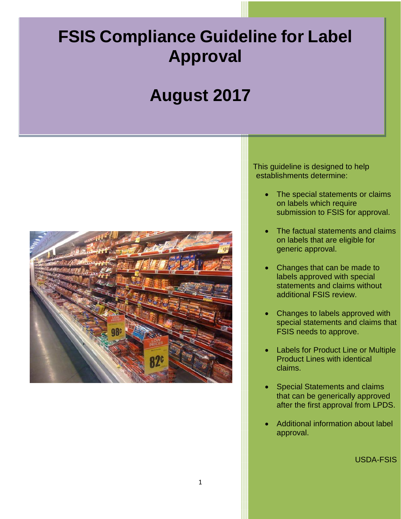# **FSIS Compliance Guideline for Label Approval**

# **August 2017**



 This guideline is designed to help establishments determine:

- The special statements or claims on labels which require submission to FSIS for approval.
- The factual statements and claims on labels that are eligible for generic approval.
- Changes that can be made to labels approved with special statements and claims without additional FSIS review.
- Changes to labels approved with special statements and claims that FSIS needs to approve.
- Labels for Product Line or Multiple Product Lines with identical claims.
- Special Statements and claims that can be generically approved after the first approval from LPDS.
- Additional information about label approval.

USDA-FSIS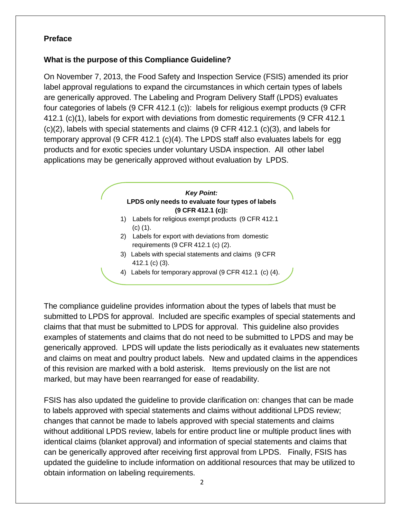#### <span id="page-1-0"></span>**Preface**

#### **What is the purpose of this Compliance Guideline?**

 four categories of labels (9 CFR 412.1 (c)): labels for religious exempt products (9 CFR temporary approval (9 CFR 412.1 (c)(4). The LPDS staff also evaluates labels for egg On November 7, 2013, the Food Safety and Inspection Service (FSIS) amended its prior label approval regulations to expand the circumstances in which certain types of labels are generically approved. The Labeling and Program Delivery Staff (LPDS) evaluates 412.1 (c)(1), labels for export with deviations from domestic requirements (9 CFR 412.1 (c)(2), labels with special statements and claims (9 CFR 412.1 (c)(3), and labels for products and for exotic species under voluntary USDA inspection. All other label applications may be generically approved without evaluation by LPDS.

# **EXECUTE:**<br> **LPDS only needs to evaluate four types of labels** *Key Point:*  **(9 CFR 412.1 (c)):**

- 1) Labels for religious exempt products (9 CFR 412.1 (c) (1).
- 2) Labels for export with deviations from domestic requirements (9 CFR 412.1 (c) (2).
- requirements (9 CFR 412.1 (c) (2).<br>3) Labels with special statements and claims (9 CFR<br>412.1 (c) (3).<br>4) Labels for temporary approval (9 CFR 412.1 (c) (4). 3) Labels with special statements and claims (9 CFR 412.1 (c) (3).
	- 4) Labels for temporary approval (9 CFR 412.1 (c) (4).

 The compliance guideline provides information about the types of labels that must be submitted to LPDS for approval. Included are specific examples of special statements and claims that that must be submitted to LPDS for approval. This guideline also provides examples of statements and claims that do not need to be submitted to LPDS and may be generically approved. LPDS will update the lists periodically as it evaluates new statements and claims on meat and poultry product labels. New and updated claims in the appendices of this revision are marked with a bold asterisk. Items previously on the list are not marked, but may have been rearranged for ease of readability.

 FSIS has also updated the guideline to provide clarification on: changes that can be made changes that cannot be made to labels approved with special statements and claims without additional LPDS review, labels for entire product line or multiple product lines with identical claims (blanket approval) and information of special statements and claims that can be generically approved after receiving first approval from LPDS. Finally, FSIS has updated the guideline to include information on additional resources that may be utilized to obtain information on labeling requirements. to labels approved with special statements and claims without additional LPDS review;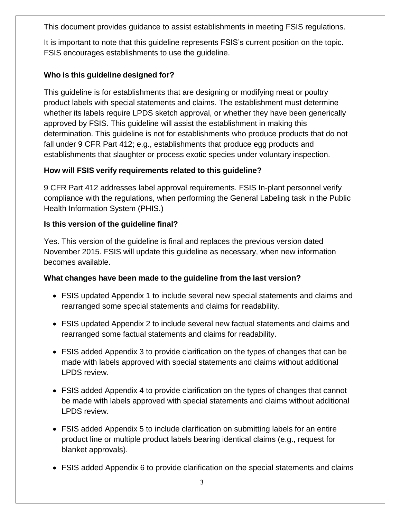This document provides guidance to assist establishments in meeting FSIS regulations.

It is important to note that this guideline represents FSIS's current position on the topic.<br>FSIS encourages establishments to use the guideline. FSIS encourages establishments to use the quideline.

# **Who is this guideline designed for?**

This guideline is for establishments that are designing or modifying meat or poultry product labels with special statements and claims. The establishment must determine whether its labels require LPDS sketch approval, or whether they have been generically approved by FSIS. This guideline will assist the establishment in making this determination. This guideline is not for establishments who produce products that do not fall under 9 CFR Part 412; e.g., establishments that produce egg products and establishments that slaughter or process exotic species under voluntary inspection.

# **How will FSIS verify requirements related to this guideline?**

9 CFR Part 412 addresses label approval requirements. FSIS In-plant personnel verify compliance with the regulations, when performing the General Labeling task in the Public Health Information System (PHIS.)

#### **Is this version of the guideline final?**

Yes. This version of the guideline is final and replaces the previous version dated November 2015. FSIS will update this guideline as necessary, when new information becomes available.

#### **What changes have been made to the guideline from the last version?**

- FSIS updated Appendix 1 to include several new special statements and claims and rearranged some special statements and claims for readability.
- FSIS updated Appendix 2 to include several new factual statements and claims and rearranged some factual statements and claims for readability.
- FSIS added Appendix 3 to provide clarification on the types of changes that can be made with labels approved with special statements and claims without additional LPDS review.
- FSIS added Appendix 4 to provide clarification on the types of changes that cannot LPDS review. be made with labels approved with special statements and claims without additional
- FSIS added Appendix 5 to include clarification on submitting labels for an entire product line or multiple product labels bearing identical claims (e.g., request for blanket approvals).
- FSIS added Appendix 6 to provide clarification on the special statements and claims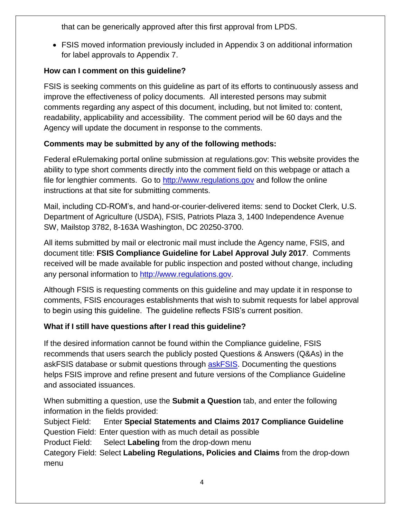that can be generically approved after this first approval from LPDS.

 FSIS moved information previously included in Appendix 3 on additional information for label approvals to Appendix 7.

#### **How can I comment on this guideline?**

 FSIS is seeking comments on this guideline as part of its efforts to continuously assess and improve the effectiveness of policy documents. All interested persons may submit comments regarding any aspect of this document, including, but not limited to: content, readability, applicability and accessibility. The comment period will be 60 days and the Agency will update the document in response to the comments.

#### **Comments may be submitted by any of the following methods:**

 Federal eRulemaking portal online submission at regulations.gov: This website provides the ability to type short comments directly into the comment field on this webpage or attach a file for lengthier comments. Go to [http://www.regulations.gov](http://www.regulations/gov) and follow the online instructions at that site for submitting comments.

 Mail, including CD-ROM's, and hand-or-courier-delivered items: send to Docket Clerk, U.S. Department of Agriculture (USDA), FSIS, Patriots Plaza 3, 1400 Independence Avenue SW, Mailstop 3782, 8-163A Washington, DC 20250-3700.

 All items submitted by mail or electronic mail must include the Agency name, FSIS, and  document title: **FSIS Compliance Guideline for Label Approval July 2017**. Comments received will be made available for public inspection and posted without change, including any personal information to [http://www.regulations.gov.](http://www.regulations.gov/)

 Although FSIS is requesting comments on this guideline and may update it in response to to begin using this guideline. The guideline reflects FSIS's current position. comments, FSIS encourages establishments that wish to submit requests for label approval

# **What if I still have questions after I read this guideline?**

If the desired information cannot be found within the Compliance guideline, FSIS recommends that users search the publicly posted Questions & Answers (Q&As) in the askFSIS database or submit questions through [askFSIS.](http://askfsis.custhelp.com/) Documenting the questions helps FSIS improve and refine present and future versions of the Compliance Guideline and associated issuances.

When submitting a question, use the **Submit a Question** tab, and enter the following information in the fields provided:

Subject Field: Enter **Special Statements and Claims 2017 Compliance Guideline**  Question Field: Enter question with as much detail as possible

Product Field: Select **Labeling** from the drop-down menu

Category Field: Select **Labeling Regulations, Policies and Claims** from the drop-down menu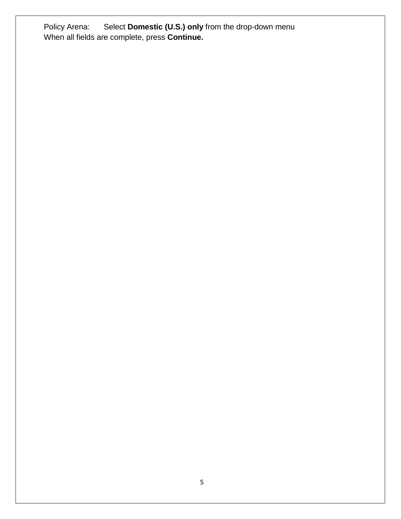Policy Arena: Select **Domestic (U.S.) only** from the drop-down menu When all fields are complete, press **Continue.**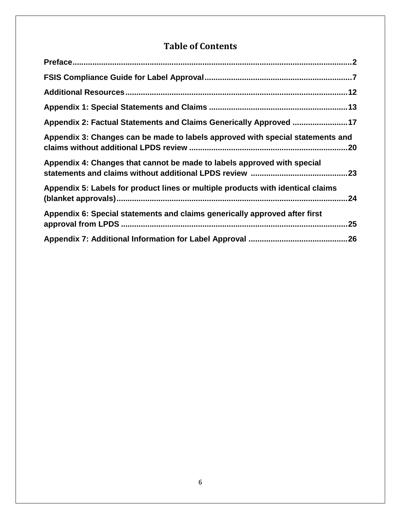# **Table of Contents**

| Appendix 2: Factual Statements and Claims Generically Approved 17               |     |
|---------------------------------------------------------------------------------|-----|
| Appendix 3: Changes can be made to labels approved with special statements and  |     |
| Appendix 4: Changes that cannot be made to labels approved with special         |     |
| Appendix 5: Labels for product lines or multiple products with identical claims | .24 |
| Appendix 6: Special statements and claims generically approved after first      | .25 |
|                                                                                 |     |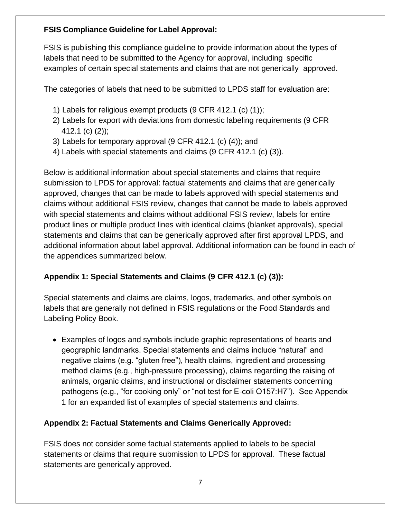# <span id="page-6-0"></span>**FSIS Compliance Guideline for Label Approval:**

FSIS is publishing this compliance guideline to provide information about the types of labels that need to be submitted to the Agency for approval, including specific examples of certain special statements and claims that are not generically approved.

The categories of labels that need to be submitted to LPDS staff for evaluation are:

- 1) Labels for religious exempt products (9 CFR 412.1 (c) (1));
- 2) Labels for export with deviations from domestic labeling requirements (9 CFR 412.1 (c) (2));
- 3) Labels for temporary approval (9 CFR 412.1 (c) (4)); and
- 4) Labels with special statements and claims (9 CFR 412.1 (c) (3)).

 approved, changes that can be made to labels approved with special statements and additional information about label approval. Additional information can be found in each of the appendices summarized below. Below is additional information about special statements and claims that require submission to LPDS for approval: factual statements and claims that are generically claims without additional FSIS review, changes that cannot be made to labels approved with special statements and claims without additional FSIS review, labels for entire product lines or multiple product lines with identical claims (blanket approvals), special statements and claims that can be generically approved after first approval LPDS, and

# **Appendix 1: Special Statements and Claims (9 CFR 412.1 (c) (3)):**

 labels that are generally not defined in FSIS regulations or the Food Standards and Labeling Policy Book. Special statements and claims are claims, logos, trademarks, and other symbols on

 negative claims (e.g. "gluten free"), health claims, ingredient and processing pathogens (e.g., "for cooking only" or "not test for E-coli O157:H7"). See Appendix 1 for an expanded list of examples of special statements and claims. Examples of logos and symbols include graphic representations of hearts and geographic landmarks. Special statements and claims include "natural" and method claims (e.g., high-pressure processing), claims regarding the raising of animals, organic claims, and instructional or disclaimer statements concerning

# **Appendix 2: Factual Statements and Claims Generically Approved:**

 FSIS does not consider some factual statements applied to labels to be special statements or claims that require submission to LPDS for approval. These factual statements are generically approved.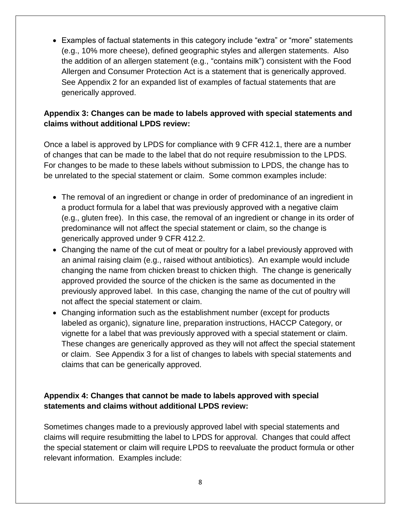the addition of an allergen statement (e.g., "contains milk") consistent with the Food See Appendix 2 for an expanded list of examples of factual statements that are Examples of factual statements in this category include "extra" or "more" statements (e.g., 10% more cheese), defined geographic styles and allergen statements. Also Allergen and Consumer Protection Act is a statement that is generically approved. generically approved.

#### **claims without additional LPDS review: Appendix 3: Changes can be made to labels approved with special statements and**

 For changes to be made to these labels without submission to LPDS, the change has to be unrelated to the special statement or claim. Some common examples include: Once a label is approved by LPDS for compliance with 9 CFR 412.1, there are a number of changes that can be made to the label that do not require resubmission to the LPDS.

- generically approved under 9 CFR 412.2. The removal of an ingredient or change in order of predominance of an ingredient in a product formula for a label that was previously approved with a negative claim (e.g., gluten free). In this case, the removal of an ingredient or change in its order of predominance will not affect the special statement or claim, so the change is
- Changing the name of the cut of meat or poultry for a label previously approved with an animal raising claim (e.g., raised without antibiotics). An example would include changing the name from chicken breast to chicken thigh. The change is generically approved provided the source of the chicken is the same as documented in the previously approved label. In this case, changing the name of the cut of poultry will not affect the special statement or claim.
- Changing information such as the establishment number (except for products labeled as organic), signature line, preparation instructions, HACCP Category, or vignette for a label that was previously approved with a special statement or claim. These changes are generically approved as they will not affect the special statement or claim. See Appendix 3 for a list of changes to labels with special statements and claims that can be generically approved.

#### **Appendix 4: Changes that cannot be made to labels approved with special statements and claims without additional LPDS review:**

 Sometimes changes made to a previously approved label with special statements and claims will require resubmitting the label to LPDS for approval. Changes that could affect the special statement or claim will require LPDS to reevaluate the product formula or other relevant information. Examples include: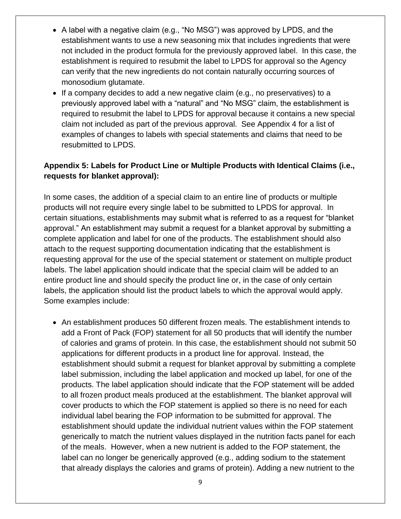- A label with a negative claim (e.g., "No MSG") was approved by LPDS, and the establishment wants to use a new seasoning mix that includes ingredients that were not included in the product formula for the previously approved label. In this case, the establishment is required to resubmit the label to LPDS for approval so the Agency can verify that the new ingredients do not contain naturally occurring sources of monosodium glutamate.
- If a company decides to add a new negative claim (e.g., no preservatives) to a previously approved label with a "natural" and "No MSG" claim, the establishment is required to resubmit the label to LPDS for approval because it contains a new special claim not included as part of the previous approval. See Appendix 4 for a list of examples of changes to labels with special statements and claims that need to be resubmitted to LPDS.

# **Appendix 5: Labels for Product Line or Multiple Products with Identical Claims (i.e., requests for blanket approval):**

 complete application and label for one of the products. The establishment should also requesting approval for the use of the special statement or statement on multiple product labels. The label application should indicate that the special claim will be added to an entire product line and should specify the product line or, in the case of only certain labels, the application should list the product labels to which the approval would apply. Some examples include: In some cases, the addition of a special claim to an entire line of products or multiple products will not require every single label to be submitted to LPDS for approval. In certain situations, establishments may submit what is referred to as a request for "blanket approval." An establishment may submit a request for a blanket approval by submitting a attach to the request supporting documentation indicating that the establishment is

 label submission, including the label application and mocked up label, for one of the to all frozen product meals produced at the establishment. The blanket approval will cover products to which the FOP statement is applied so there is no need for each of the meals. However, when a new nutrient is added to the FOP statement, the label can no longer be generically approved (e.g., adding sodium to the statement that already displays the calories and grams of protein). Adding a new nutrient to the An establishment produces 50 different frozen meals. The establishment intends to add a Front of Pack (FOP) statement for all 50 products that will identify the number of calories and grams of protein. In this case, the establishment should not submit 50 applications for different products in a product line for approval. Instead, the establishment should submit a request for blanket approval by submitting a complete products. The label application should indicate that the FOP statement will be added individual label bearing the FOP information to be submitted for approval. The establishment should update the individual nutrient values within the FOP statement generically to match the nutrient values displayed in the nutrition facts panel for each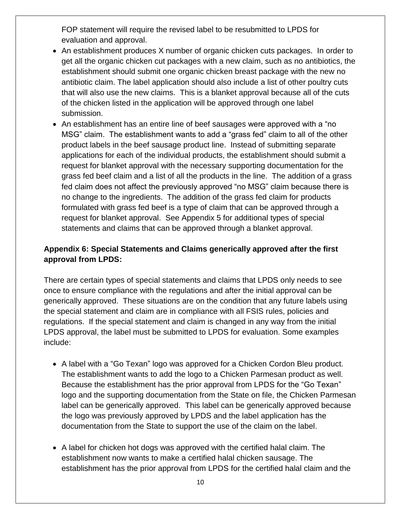FOP statement will require the revised label to be resubmitted to LPDS for evaluation and approval.

- An establishment produces X number of organic chicken cuts packages. In order to of the chicken listed in the application will be approved through one label get all the organic chicken cut packages with a new claim, such as no antibiotics, the establishment should submit one organic chicken breast package with the new no antibiotic claim. The label application should also include a list of other poultry cuts that will also use the new claims. This is a blanket approval because all of the cuts submission.
- MSG" claim. The establishment wants to add a "grass fed" claim to all of the other grass fed beef claim and a list of all the products in the line. The addition of a grass no change to the ingredients. The addition of the grass fed claim for products formulated with grass fed beef is a type of claim that can be approved through a statements and claims that can be approved through a blanket approval. An establishment has an entire line of beef sausages were approved with a "no product labels in the beef sausage product line. Instead of submitting separate applications for each of the individual products, the establishment should submit a request for blanket approval with the necessary supporting documentation for the fed claim does not affect the previously approved "no MSG" claim because there is request for blanket approval. See Appendix 5 for additional types of special

#### **Appendix 6: Special Statements and Claims generically approved after the first approval from LPDS:**

 once to ensure compliance with the regulations and after the initial approval can be LPDS approval, the label must be submitted to LPDS for evaluation. Some examples There are certain types of special statements and claims that LPDS only needs to see generically approved. These situations are on the condition that any future labels using the special statement and claim are in compliance with all FSIS rules, policies and regulations. If the special statement and claim is changed in any way from the initial include:

- A label with a "Go Texan" logo was approved for a Chicken Cordon Bleu product. The establishment wants to add the logo to a Chicken Parmesan product as well. Because the establishment has the prior approval from LPDS for the "Go Texan" logo and the supporting documentation from the State on file, the Chicken Parmesan label can be generically approved. This label can be generically approved because the logo was previously approved by LPDS and the label application has the documentation from the State to support the use of the claim on the label.
- establishment now wants to make a certified halal chicken sausage. The A label for chicken hot dogs was approved with the certified halal claim. The establishment has the prior approval from LPDS for the certified halal claim and the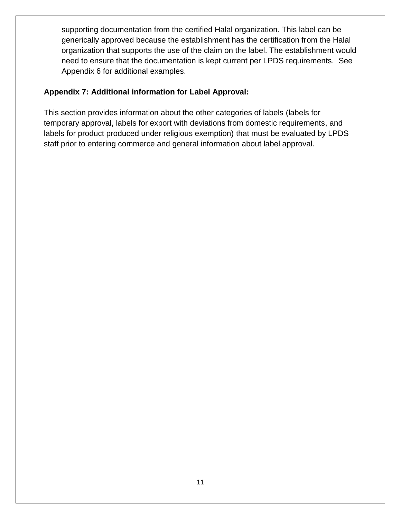need to ensure that the documentation is kept current per LPDS requirements. See supporting documentation from the certified Halal organization. This label can be generically approved because the establishment has the certification from the Halal organization that supports the use of the claim on the label. The establishment would Appendix 6 for additional examples.

#### **Appendix 7: Additional information for Label Approval:**

This section provides information about the other categories of labels (labels for temporary approval, labels for export with deviations from domestic requirements, and labels for product produced under religious exemption) that must be evaluated by LPDS staff prior to entering commerce and general information about label approval.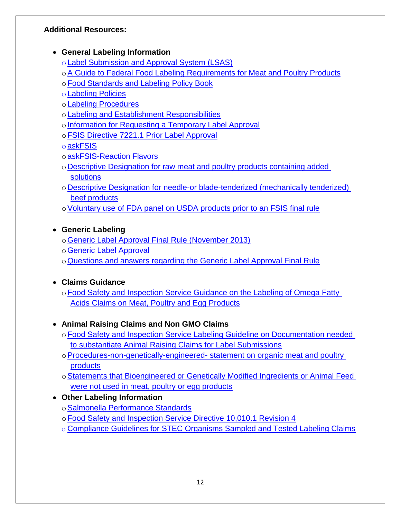# <span id="page-11-0"></span>**Additional Resources:**

#### **General Labeling Information**

- o[Label Submission and Approval System \(LSAS\)](https://www.fsis.usda.gov/wps/portal/fsis/topics/regulatory-compliance/labeling/label-submission-and-approval-system)
- o[A Guide to Federal Food Labeling Requirements for Meat and Poultry Products](https://www.google.com/url?sa=t&rct=j&q=&esrc=s&source=web&cd=1&ved=0ahUKEwj4zKjO0eDUAhXFcT4KHRlMBzsQFggiMAA&url=https%3A%2F%2Fwww.fsis.usda.gov%2Fshared%2FPDF%2FLabeling_Requirements_Guide.pdf&usg=AFQjCNHEwkGMHwU9jKXHACPbSlZsf0RpcA&cad=rja)
- o Food Standards and Labeling Policy Book
- o[Labeling Policies](https://www.fsis.usda.gov/wps/portal/fsis/topics/regulatory-compliance/labeling/Labeling-Policies)
- o[Labeling Procedures](https://www.fsis.usda.gov/wps/portal/fsis/topics/regulatory-compliance/labeling/labeling-procedures)
- o[Labeling and Establishment Responsibilities](https://www.fsis.usda.gov/wps/portal/fsis/topics/regulatory-compliance/labeling/labeling-procedures/labeling-and-establishment-responsibilities)
- o Information for Requesting a Temporary Label Approval
- o[FSIS Directive 7221.1 Prior Label Approval](https://www.google.com/url?sa=t&rct=j&q=&esrc=s&source=web&cd=1&ved=0ahUKEwikuITd0ODUAhWCQz4KHfYfDyoQFggiMAA&url=https%3A%2F%2Fwww.fsis.usda.gov%2Fwps%2Fwcm%2Fconnect%2F9a2ebc76-2d43-4658-841a-f810b1f65f04%2F7221.1.pdf%3FMOD%3DAJPERES&usg=AFQjCNE923Yr8S9mVU9OY9t6JBthagOQ8w&cad=rja)
- o[askFSIS](https://askfsis.custhelp.com/)
- o[askFSIS-Reaction Flavors](https://askfsis.custhelp.com/app/answers/detail/a_id/467/kw/reaction%20flavor)
- o [Descriptive Designation for raw meat and poultry products containing added](http://www.fsis.usda.gov/wps/wcm/connect/95915f2e-9272-4a1d-8b52-5a2147cb8c59/2010-0012.htm?MOD=AJPERES)  **solutions**
- o [Descriptive Designation for needle-or blade-tenderized \(mechanically tenderized\)](http://www.fsis.usda.gov/wps/wcm/connect/ea5a6c2e-a3d0-4990-9479-755e82f5ceb2/2008-0017F.pdf?MOD=AJPERES)  [beef products](http://www.fsis.usda.gov/wps/wcm/connect/ea5a6c2e-a3d0-4990-9479-755e82f5ceb2/2008-0017F.pdf?MOD=AJPERES)
- o Voluntary use of FDA panel on USDA products prior to an FSIS final rule

# **Generic Labeling**

- o[Generic Label Approval Final Rule \(November 2013\)](http://www.fsis.usda.gov/wps/wcm/connect/3b0efaeb-9a81-4532-a1cc-b4d1cdb30f4a/2005-0016F.pdf?MOD=AJPERES)
- o[Generic Label Approval](http://www.fsis.usda.gov/wps/wcm/connect/1364c48d-214b-41bf-bab8-6289f951cb31/Generic-Final-Rule-Overview-Industry.pdf?MOD=AJPERES)
- o[Questions and answers regarding the Generic Label Approval Final Rule](https://www.fsis.usda.gov/wps/portal/fsis/topics/regulatory-compliance/labeling/labeling-policies/faq-generic-labeling)

# **Claims Guidance**

o Food Safety and Inspection Service Guidance on the Labeling of Omega Fatty [Acids Claims on Meat, Poultry and Egg Products](http://www.fsis.usda.gov/wps/wcm/connect/aff1ec68-a0be-431f-b3de-1ddb53079534/omega-fatty-acids.pdf?MOD=AJPERES) 

# **Animal Raising Claims and Non GMO Claims**

- o Food Safety and Inspection Service Labeling Guideline on Documentation needed [to substantiate Animal Raising Claims for Label Submissions](http://www.fsis.usda.gov/wps/wcm/connect/6fe3cd56-6809-4239-b7a2-bccb82a30588/RaisingClaims.pdf?MOD=AJPERES)
- o [Procedures-non-genetically-engineered-](http://www.fsis.usda.gov/wps/portal/fsis/topics/regulatory-compliance/labeling/claims-guidance/procedures-nongenetically-engineered-statement) statement on organic meat and poultry [products](http://www.fsis.usda.gov/wps/portal/fsis/topics/regulatory-compliance/labeling/claims-guidance/procedures-nongenetically-engineered-statement)
- o[Statements that Bioengineered or Genetically Modified Ingredients or Animal Feed](http://www.fsis.usda.gov/wps/portal/fsis/topics/regulatory-compliance/labeling/claims-guidance/procedures-nongenetically-engineered-statement)  [were not used in meat, poultry or egg products](http://www.fsis.usda.gov/wps/portal/fsis/topics/regulatory-compliance/labeling/claims-guidance/procedures-nongenetically-engineered-statement)

# **Other Labeling Information**

- o[Salmonella Performance Standards](http://www.fsis.usda.gov/wps/wcm/connect/b0790997-2e74-48bf-9799-85814bac9ceb/28_IM_PR_Sal_Campy.pdf?MOD=AJPERES)
- o Food Safety and Inspection Service Directive 10,010.1 Revision 4
- o Compliance Guidelines for STEC Organisms Sampled and Tested Labeling Claims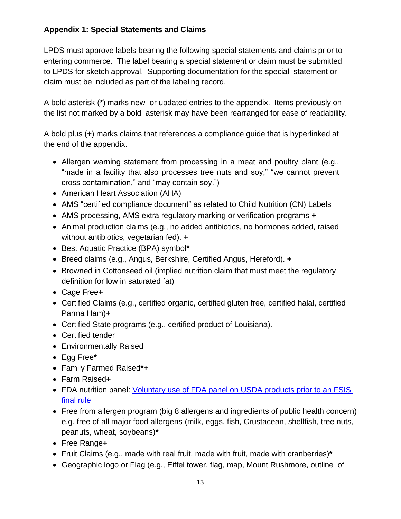#### <span id="page-12-0"></span>**Appendix 1: Special Statements and Claims**

 LPDS must approve labels bearing the following special statements and claims prior to claim must be included as part of the labeling record. entering commerce. The label bearing a special statement or claim must be submitted to LPDS for sketch approval. Supporting documentation for the special statement or

the list not marked by a bold asterisk may have been rearranged for ease of readability. A bold asterisk (**\***) marks new or updated entries to the appendix. Items previously on

the list not marked by a bold asterisk may have been rearranged for ease of readability.<br>A bold plus (+) marks claims that references a compliance guide that is hyperlinked at the end of the appendix.

- Allergen warning statement from processing in a meat and poultry plant (e.g., "made in a facility that also processes tree nuts and soy," "we cannot prevent cross contamination," and "may contain soy.")
- American Heart Association (AHA)
- AMS "certified compliance document" as related to Child Nutrition (CN) Labels
- AMS processing, AMS extra regulatory marking or verification programs **+**
- Animal production claims (e.g., no added antibiotics, no hormones added, raised without antibiotics, vegetarian fed). **+**
- Best Aquatic Practice (BPA) symbol**\***
- Breed claims (e.g., Angus, Berkshire, Certified Angus, Hereford). **+**
- Browned in Cottonseed oil (implied nutrition claim that must meet the regulatory definition for low in saturated fat)
- Cage Free**+**
- Certified Claims (e.g., certified organic, certified gluten free, certified halal, certified Parma Ham)**+**
- Certified State programs (e.g., certified product of Louisiana).
- Certified tender
- Environmentally Raised
- Egg Free**\***
- Family Farmed Raised**\*+**
- Farm Raised**+**
- FDA nutrition panel: *Voluntary use of FDA panel on USDA products prior to an FSIS* [final rule](https://www.fsis.usda.gov/wps/wcm/connect/815c1ec3-0779-42e5-b5ec-b85494392efb/2016-0030.html?MOD=AJPERES)
- e.g. free of all major food allergens (milk, eggs, fish, Crustacean, shellfish, tree nuts, Free from allergen program (big 8 allergens and ingredients of public health concern) peanuts, wheat, soybeans)**\***
- Free Range**+**
- Fruit Claims (e.g., made with real fruit, made with fruit, made with cranberries)**\***
- Geographic logo or Flag (e.g., Eiffel tower, flag, map, Mount Rushmore, outline of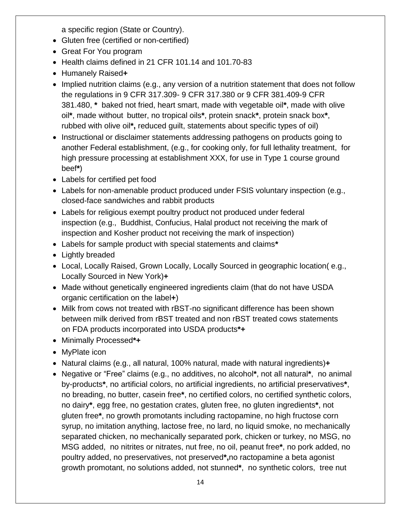a specific region (State or Country).

- Gluten free (certified or non-certified)
- Great For You program
- Health claims defined in 21 CFR 101.14 and 101.70-83
- Humanely Raised**+**
- Implied nutrition claims (e.g., any version of a nutrition statement that does not follow the regulations in 9 CFR 317.309- 9 CFR 317.380 or 9 CFR 381.409-9 CFR 381.480, **\*** baked not fried, heart smart, made with vegetable oil**\***, made with olive oil**\***, made without butter, no tropical oils**\***, protein snack**\***, protein snack box**\***, rubbed with olive oil**\*,** reduced guilt, statements about specific types of oil)
- high pressure processing at establishment XXX, for use in Type 1 course ground • Instructional or disclaimer statements addressing pathogens on products going to another Federal establishment, (e.g., for cooking only, for full lethality treatment, for beef**\***)
- Labels for certified pet food
- Labels for non-amenable product produced under FSIS voluntary inspection (e.g., closed-face sandwiches and rabbit products
- inspection (e.g., Buddhist, Confucius, Halal product not receiving the mark of Labels for religious exempt poultry product not produced under federal inspection and Kosher product not receiving the mark of inspection)
- Labels for sample product with special statements and claims**\***
- Lightly breaded
- Locally Sourced in New York)**+**  Local, Locally Raised, Grown Locally, Locally Sourced in geographic location( e.g.,
- Made without genetically engineered ingredients claim (that do not have USDA organic certification on the label**+**)
- between milk derived from rBST treated and non rBST treated cows statements • Milk from cows not treated with rBST-no significant difference has been shown on FDA products incorporated into USDA products**\*+**
- Minimally Processed**\*+**
- MyPlate icon
- Natural claims (e.g., all natural, 100% natural, made with natural ingredients)**+**
- no breading, no butter, casein free**\***, no certified colors, no certified synthetic colors, no dairy**\***, egg free, no gestation crates, gluten free, no gluten ingredients**\***, not gluten free**\***, no growth promotants including ractopamine, no high fructose corn poultry added, no preservatives, not preserved**\*,**no ractopamine a beta agonist growth promotant, no solutions added, not stunned**\***, no synthetic colors, tree nut Negative or "Free" claims (e.g., no additives, no alcohol**\***, not all natural**\***, no animal by-products**\***, no artificial colors, no artificial ingredients, no artificial preservatives**\***, syrup, no imitation anything, lactose free, no lard, no liquid smoke, no mechanically separated chicken, no mechanically separated pork, chicken or turkey, no MSG, no MSG added, no nitrites or nitrates, nut free, no oil, peanut free**\***, no pork added, no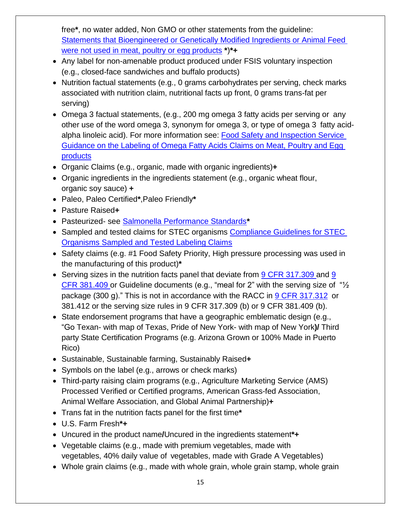free**\***, no water added, Non GMO or other statements from the guideline: [Statements that Bioengineered or Genetically Modified Ingredients or Animal Feed](http://www.fsis.usda.gov/wps/portal/fsis/topics/regulatory-compliance/labeling/claims-guidance/procedures-nongenetically-engineered-statement)  [were not used in meat, poultry or egg products](http://www.fsis.usda.gov/wps/portal/fsis/topics/regulatory-compliance/labeling/claims-guidance/procedures-nongenetically-engineered-statement) **\***)**\*+** 

- Any label for non-amenable product produced under FSIS voluntary inspection (e.g., closed-face sandwiches and buffalo products)
- associated with nutrition claim, nutritional facts up front, 0 grams trans-fat per • Nutrition factual statements (e.g., 0 grams carbohydrates per serving, check marks serving)
- alpha linoleic acid). For more information see: Food Safety and Inspection Service [Guidance on the Labeling of Omega Fatty Acids Claims on Meat, Poultry and Egg](http://www.fsis.usda.gov/wps/wcm/connect/aff1ec68-a0be-431f-b3de-1ddb53079534/omega-fatty-acids.pdf?MOD=AJPERES)  Omega 3 factual statements, (e.g., 200 mg omega 3 fatty acids per serving or any other use of the word omega 3, synonym for omega 3, or type of omega 3 fatty acid[products](http://www.fsis.usda.gov/wps/wcm/connect/aff1ec68-a0be-431f-b3de-1ddb53079534/omega-fatty-acids.pdf?MOD=AJPERES)
- Organic Claims (e.g., organic, made with organic ingredients)**+**
- Organic ingredients in the ingredients statement (e.g., organic wheat flour, organic soy sauce) **+**
- Paleo, Paleo Certified**\***,Paleo Friendly**\***
- Pasture Raised**+**
- Pasteurized- see [Salmonella Performance Standards](http://www.fsis.usda.gov/wps/wcm/connect/b0790997-2e74-48bf-9799-85814bac9ceb/28_IM_PR_Sal_Campy.pdf?MOD=AJPERES)**\***
- **Organisms Sampled and Tested Labeling Claims** • Sampled and tested claims for STEC organisms Compliance Guidelines for STEC
- Safety claims (e.g. #1 Food Safety Priority, High pressure processing was used in the manufacturing of this product)**\***
- $\bullet$  Serving sizes in the nutrition facts panel that deviate from [9 CFR 317.309 a](http://www.gpo.gov/fdsys/pkg/CFR-2015-title9-vol2/xml/CFR-2015-title9-vol2-sec317-309.xml)nd 9 [CFR 381.409 o](http://www.gpo.gov/fdsys/pkg/CFR-2015-title9-vol2/xml/CFR-2015-title9-vol2-sec381-409.xml)r Guideline documents (e.g., "meal for 2" with the serving size of "½ package (300 g)." This is not in accordance with the RACC in [9 CFR 317.312](http://www.gpo.gov/fdsys/pkg/CFR-2015-title9-vol2/xml/CFR-2015-title9-vol2-sec317-312.xml) or 381.412 or the serving size rules in 9 CFR 317.309 (b) or 9 CFR 381.409 (b).
- party State Certification Programs (e.g. Arizona Grown or 100% Made in Puerto State endorsement programs that have a geographic emblematic design (e.g., "Go Texan- with map of Texas, Pride of New York- with map of New York**)/** Third Rico)
- Sustainable, Sustainable farming, Sustainably Raised**+**
- Symbols on the label (e.g., arrows or check marks)
- Third-party raising claim programs (e.g., Agriculture Marketing Service (AMS) Processed Verified or Certified programs, American Grass-fed Association, Animal Welfare Association, and Global Animal Partnership)**+**
- Trans fat in the nutrition facts panel for the first time**\***
- U.S. Farm Fresh**\*+**
- Uncured in the product name**/**Uncured in the ingredients statement**\*+**
- Vegetable claims (e.g., made with premium vegetables, made with vegetables, 40% daily value of vegetables, made with Grade A Vegetables)
- Whole grain claims (e.g., made with whole grain, whole grain stamp, whole grain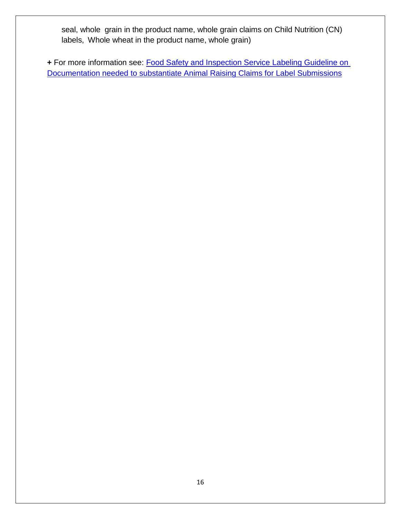seal, whole grain in the product name, whole grain claims on Child Nutrition (CN) labels, Whole wheat in the product name, whole grain)

 **+** For more information see: [Food Safety and Inspection Service Labeling Guideline on](http://www.fsis.usda.gov/wps/wcm/connect/6fe3cd56-6809-4239-b7a2-bccb82a30588/RaisingClaims.pdf?MOD=AJPERES)  [Documentation needed to substantiate Animal Raising Claims for Label Submissions](http://www.fsis.usda.gov/wps/wcm/connect/6fe3cd56-6809-4239-b7a2-bccb82a30588/RaisingClaims.pdf?MOD=AJPERES)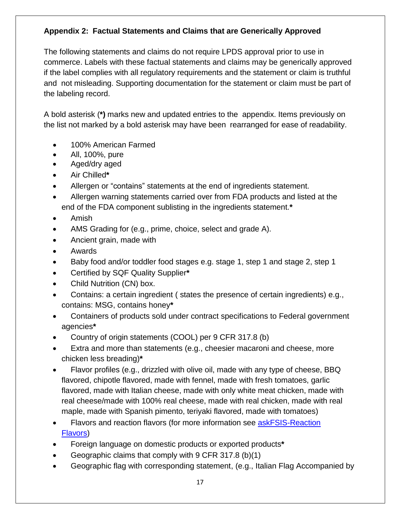# <span id="page-16-0"></span>**Appendix 2: Factual Statements and Claims that are Generically Approved**

 and not misleading. Supporting documentation for the statement or claim must be part of The following statements and claims do not require LPDS approval prior to use in commerce. Labels with these factual statements and claims may be generically approved if the label complies with all regulatory requirements and the statement or claim is truthful the labeling record.

A bold asterisk (**\*)** marks new and updated entries to the appendix. Items previously on the list not marked by a bold asterisk may have been rearranged for ease of readability.

- 100% American Farmed
- All, 100%, pure
- Aged/dry aged
- Air Chilled**\***
- Allergen or "contains" statements at the end of ingredients statement.
- Allergen warning statements carried over from FDA products and listed at the end of the FDA component sublisting in the ingredients statement.**\***
- Amish
- AMS Grading for (e.g., prime, choice, select and grade A).
- Ancient grain, made with
- Awards
- Baby food and/or toddler food stages e.g. stage 1, step 1 and stage 2, step 1
- Certified by SQF Quality Supplier**\***
- Child Nutrition (CN) box.
- Contains: a certain ingredient ( states the presence of certain ingredients) e.g., contains: MSG, contains honey**\***
- Containers of products sold under contract specifications to Federal government agencies**\***
- Country of origin statements (COOL) per 9 CFR 317.8 (b)
- Extra and more than statements (e.g., cheesier macaroni and cheese, more chicken less breading)**\***
- Flavor profiles (e.g., drizzled with olive oil, made with any type of cheese, BBQ flavored, chipotle flavored, made with fennel, made with fresh tomatoes, garlic flavored, made with Italian cheese, made with only white meat chicken, made with real cheese/made with 100% real cheese, made with real chicken, made with real maple, made with Spanish pimento, teriyaki flavored, made with tomatoes)
- Flavors and reaction flavors (for more information see [askFSIS-Reaction](http://askfsis.custhelp.com/app/answers/detail/a_id/462)  [Flavors\)](http://askfsis.custhelp.com/app/answers/detail/a_id/462)
- Foreign language on domestic products or exported products**\***
- Geographic claims that comply with 9 CFR 317.8 (b)(1)
- Geographic flag with corresponding statement, (e.g., Italian Flag Accompanied by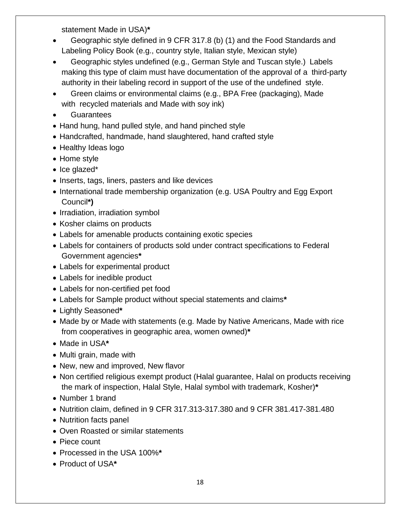statement Made in USA)**\*** 

- Geographic style defined in 9 CFR 317.8 (b) (1) and the Food Standards and Labeling Policy Book (e.g., country style, Italian style, Mexican style)
- Geographic styles undefined (e.g., German Style and Tuscan style.) Labels making this type of claim must have documentation of the approval of a third-party authority in their labeling record in support of the use of the undefined style.
- Green claims or environmental claims (e.g., BPA Free (packaging), Made with recycled materials and Made with soy ink)
- **Guarantees**
- Hand hung, hand pulled style, and hand pinched style
- Handcrafted, handmade, hand slaughtered, hand crafted style
- Healthy Ideas logo
- Home style
- Ice glazed\*
- Inserts, tags, liners, pasters and like devices
- International trade membership organization (e.g. USA Poultry and Egg Export Council**\*)**
- Irradiation, irradiation symbol
- Kosher claims on products
- Labels for amenable products containing exotic species
- Labels for containers of products sold under contract specifications to Federal Government agencies**\***
- Labels for experimental product
- Labels for inedible product
- Labels for non-certified pet food
- Labels for Sample product without special statements and claims**\***
- Lightly Seasoned**\***
- Made by or Made with statements (e.g. Made by Native Americans, Made with rice from cooperatives in geographic area, women owned)**\***
- Made in USA**\***
- Multi grain, made with
- New, new and improved, New flavor
- Non certified religious exempt product (Halal guarantee, Halal on products receiving the mark of inspection, Halal Style, Halal symbol with trademark, Kosher)**\***
- Number 1 brand
- Nutrition claim, defined in 9 CFR 317.313-317.380 and 9 CFR 381.417-381.480
- Nutrition facts panel
- Oven Roasted or similar statements
- Piece count
- Processed in the USA 100%**\***
- Product of USA**\***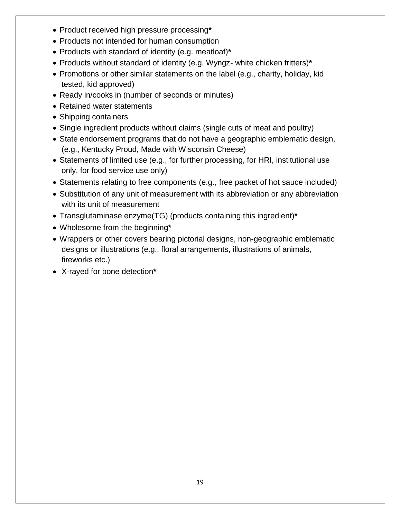- Product received high pressure processing**\***
- Products not intended for human consumption
- Products with standard of identity (e.g. meatloaf)**\***
- Products without standard of identity (e.g. Wyngz- white chicken fritters)**\***
- Promotions or other similar statements on the label (e.g., charity, holiday, kid tested, kid approved)
- Ready in/cooks in (number of seconds or minutes)
- Retained water statements
- Shipping containers
- Single ingredient products without claims (single cuts of meat and poultry)
- State endorsement programs that do not have a geographic emblematic design, (e.g., Kentucky Proud, Made with Wisconsin Cheese)
- Statements of limited use (e.g., for further processing, for HRI, institutional use only, for food service use only)
- Statements relating to free components (e.g., free packet of hot sauce included)
- Substitution of any unit of measurement with its abbreviation or any abbreviation with its unit of measurement
- Transglutaminase enzyme(TG) (products containing this ingredient)**\***
- Wholesome from the beginning**\***
- Wrappers or other covers bearing pictorial designs, non-geographic emblematic designs or illustrations (e.g., floral arrangements, illustrations of animals, fireworks etc.)
- X-rayed for bone detection**\***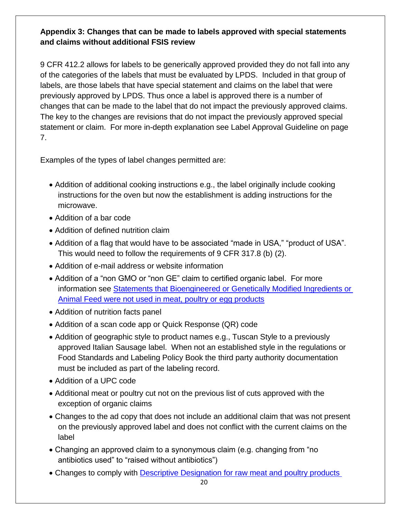#### <span id="page-19-0"></span> **Appendix 3: Changes that can be made to labels approved with special statements and claims without additional FSIS review**

 9 CFR 412.2 allows for labels to be generically approved provided they do not fall into any of the categories of the labels that must be evaluated by LPDS. Included in that group of labels, are those labels that have special statement and claims on the label that were previously approved by LPDS. Thus once a label is approved there is a number of changes that can be made to the label that do not impact the previously approved claims. statement or claim. For more in-depth explanation see Label Approval Guideline on page The key to the changes are revisions that do not impact the previously approved special 7.

Examples of the types of label changes permitted are:

- instructions for the oven but now the establishment is adding instructions for the Addition of additional cooking instructions e.g., the label originally include cooking microwave.
- Addition of a bar code
- Addition of defined nutrition claim
- Addition of a flag that would have to be associated "made in USA," "product of USA". This would need to follow the requirements of 9 CFR 317.8 (b) (2).
- Addition of e-mail address or website information
- Addition of a "non GMO or "non GE" claim to certified organic label. For more information see Statements that Bioengineered or Genetically Modified Ingredients or [Animal Feed were not used in meat, poultry or egg products](http://www.fsis.usda.gov/wps/portal/fsis/topics/regulatory-compliance/labeling/claims-guidance/procedures-nongenetically-engineered-statement)
- Addition of nutrition facts panel
- Addition of a scan code app or Quick Response (QR) code
- Addition of geographic style to product names e.g., Tuscan Style to a previously approved Italian Sausage label. When not an established style in the regulations or Food Standards and Labeling Policy Book the third party authority documentation must be included as part of the labeling record.
- Addition of a UPC code
- Additional meat or poultry cut not on the previous list of cuts approved with the exception of organic claims
- Changes to the ad copy that does not include an additional claim that was not present on the previously approved label and does not conflict with the current claims on the label
- Changing an approved claim to a synonymous claim (e.g. changing from "no antibiotics used" to "raised without antibiotics")
- Changes to comply with **Descriptive Designation for raw meat and poultry products**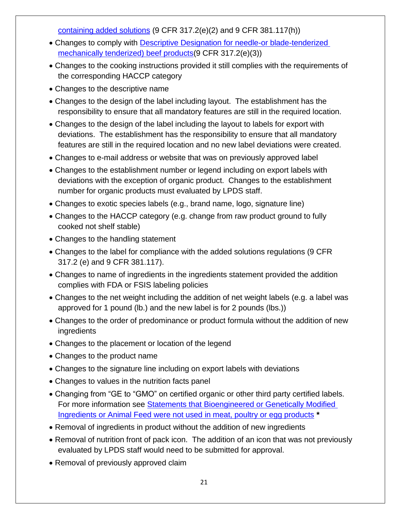[containing added solutions](http://www.fsis.usda.gov/wps/wcm/connect/95915f2e-9272-4a1d-8b52-5a2147cb8c59/2010-0012.htm?MOD=AJPERES) (9 CFR 317.2(e)(2) and 9 CFR 381.117(h))

- Changes to comply with [Descriptive Designation for needle-or blade-tenderized](http://www.fsis.usda.gov/wps/wcm/connect/ea5a6c2e-a3d0-4990-9479-755e82f5ceb2/2008-0017F.pdf?MOD=AJPERES)  [mechanically tenderized\) beef products\(](http://www.fsis.usda.gov/wps/wcm/connect/ea5a6c2e-a3d0-4990-9479-755e82f5ceb2/2008-0017F.pdf?MOD=AJPERES)9 CFR 317.2(e)(3))
- Changes to the cooking instructions provided it still complies with the requirements of the corresponding HACCP category
- Changes to the descriptive name
- Changes to the design of the label including layout. The establishment has the responsibility to ensure that all mandatory features are still in the required location.
- Changes to the design of the label including the layout to labels for export with deviations. The establishment has the responsibility to ensure that all mandatory features are still in the required location and no new label deviations were created.
- Changes to e-mail address or website that was on previously approved label
- Changes to the establishment number or legend including on export labels with deviations with the exception of organic product. Changes to the establishment number for organic products must evaluated by LPDS staff.
- Changes to exotic species labels (e.g., brand name, logo, signature line)
- Changes to the HACCP category (e.g. change from raw product ground to fully cooked not shelf stable)
- Changes to the handling statement
- Changes to the label for compliance with the added solutions regulations (9 CFR 317.2 (e) and 9 CFR 381.117).
- Changes to name of ingredients in the ingredients statement provided the addition complies with FDA or FSIS labeling policies
- Changes to the net weight including the addition of net weight labels (e.g. a label was approved for 1 pound (lb.) and the new label is for 2 pounds (lbs.))
- Changes to the order of predominance or product formula without the addition of new ingredients
- Changes to the placement or location of the legend
- Changes to the product name
- Changes to the signature line including on export labels with deviations
- Changes to values in the nutrition facts panel
- Changing from "GE to "GMO" on certified organic or other third party certified labels. For more information see **Statements that Bioengineered or Genetically Modified** [Ingredients or Animal Feed were not used in meat, poultry or egg products](http://www.fsis.usda.gov/wps/portal/fsis/topics/regulatory-compliance/labeling/claims-guidance/procedures-nongenetically-engineered-statement) **\***
- Removal of ingredients in product without the addition of new ingredients
- Removal of nutrition front of pack icon. The addition of an icon that was not previously evaluated by LPDS staff would need to be submitted for approval.
- Removal of previously approved claim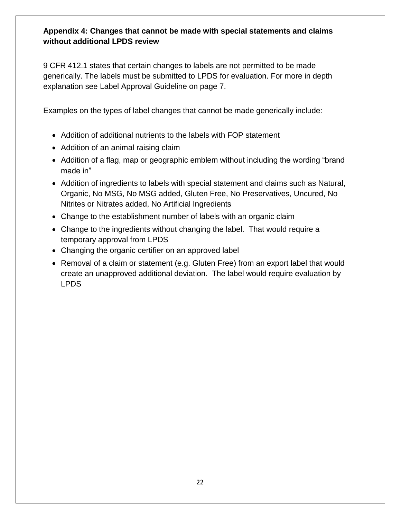#### **Appendix 4: Changes that cannot be made with special statements and claims without additional LPDS review**

 9 CFR 412.1 states that certain changes to labels are not permitted to be made generically. The labels must be submitted to LPDS for evaluation. For more in depth explanation see Label Approval Guideline on page 7.

Examples on the types of label changes that cannot be made generically include:

- Addition of additional nutrients to the labels with FOP statement
- Addition of an animal raising claim
- Addition of a flag, map or geographic emblem without including the wording "brand made in"
- Organic, No MSG, No MSG added, Gluten Free, No Preservatives, Uncured, No Nitrites or Nitrates added, No Artificial Ingredients Addition of ingredients to labels with special statement and claims such as Natural,
- Change to the establishment number of labels with an organic claim
- Change to the ingredients without changing the label. That would require a temporary approval from LPDS
- Changing the organic certifier on an approved label
- Removal of a claim or statement (e.g. Gluten Free) from an export label that would create an unapproved additional deviation. The label would require evaluation by LPDS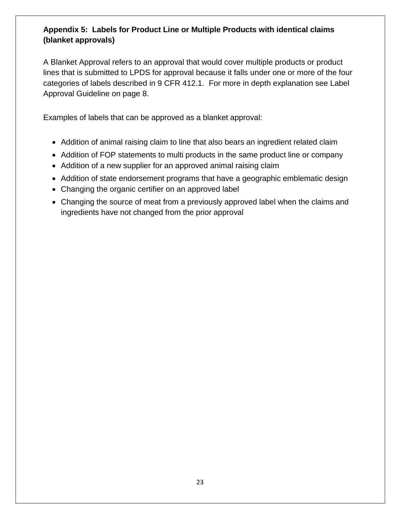# <span id="page-22-0"></span> **Appendix 5: Labels for Product Line or Multiple Products with identical claims (blanket approvals)**

 lines that is submitted to LPDS for approval because it falls under one or more of the four categories of labels described in 9 CFR 412.1. For more in depth explanation see Label A Blanket Approval refers to an approval that would cover multiple products or product Approval Guideline on page 8.

Examples of labels that can be approved as a blanket approval:

- Addition of animal raising claim to line that also bears an ingredient related claim
- Addition of FOP statements to multi products in the same product line or company
- Addition of a new supplier for an approved animal raising claim
- Addition of state endorsement programs that have a geographic emblematic design
- Changing the organic certifier on an approved label
- ingredients have not changed from the prior approval Changing the source of meat from a previously approved label when the claims and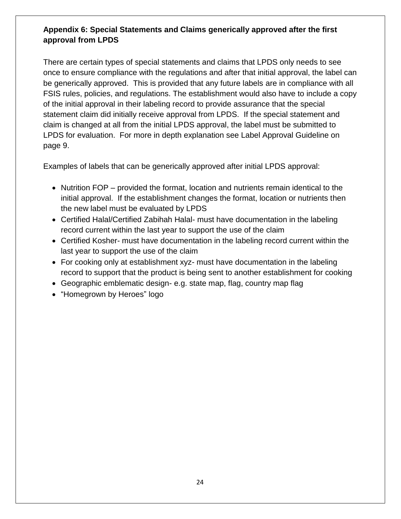# <span id="page-23-0"></span>**Appendix 6: Special Statements and Claims generically approved after the first approval from LPDS**

 once to ensure compliance with the regulations and after that initial approval, the label can statement claim did initially receive approval from LPDS. If the special statement and LPDS for evaluation. For more in depth explanation see Label Approval Guideline on There are certain types of special statements and claims that LPDS only needs to see be generically approved. This is provided that any future labels are in compliance with all FSIS rules, policies, and regulations. The establishment would also have to include a copy of the initial approval in their labeling record to provide assurance that the special claim is changed at all from the initial LPDS approval, the label must be submitted to page 9.

Examples of labels that can be generically approved after initial LPDS approval:

- Nutrition FOP provided the format, location and nutrients remain identical to the the new label must be evaluated by LPDS initial approval. If the establishment changes the format, location or nutrients then
- Certified Halal/Certified Zabihah Halal- must have documentation in the labeling record current within the last year to support the use of the claim
- Certified Kosher- must have documentation in the labeling record current within the last year to support the use of the claim
- For cooking only at establishment xyz- must have documentation in the labeling record to support that the product is being sent to another establishment for cooking
- Geographic emblematic design- e.g. state map, flag, country map flag
- "Homegrown by Heroes" logo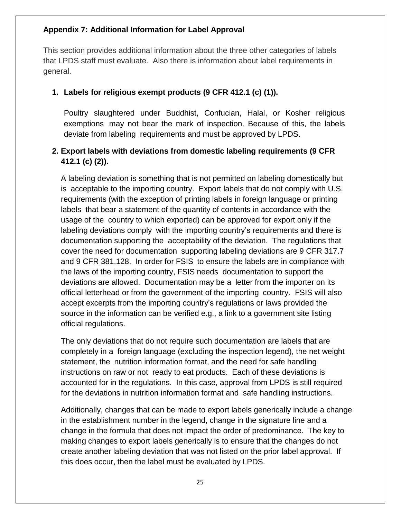#### <span id="page-24-0"></span>**Appendix 7: Additional Information for Label Approval**

This section provides additional information about the three other categories of labels that LPDS staff must evaluate. Also there is information about label requirements in general.

#### **1. Labels for religious exempt products (9 CFR 412.1 (c) (1)).**

Poultry slaughtered under Buddhist, Confucian, Halal, or Kosher religious exemptions may not bear the mark of inspection. Because of this, the labels deviate from labeling requirements and must be approved by LPDS.

# **2. Export labels with deviations from domestic labeling requirements (9 CFR 412.1 (c) (2)).**

 and 9 CFR 381.128. In order for FSIS to ensure the labels are in compliance with source in the information can be verified e.g., a link to a government site listing A labeling deviation is something that is not permitted on labeling domestically but is acceptable to the importing country. Export labels that do not comply with U.S. requirements (with the exception of printing labels in foreign language or printing labels that bear a statement of the quantity of contents in accordance with the usage of the country to which exported) can be approved for export only if the labeling deviations comply with the importing country's requirements and there is documentation supporting the acceptability of the deviation. The regulations that cover the need for documentation supporting labeling deviations are 9 CFR 317.7 the laws of the importing country, FSIS needs documentation to support the deviations are allowed. Documentation may be a letter from the importer on its official letterhead or from the government of the importing country. FSIS will also accept excerpts from the importing country's regulations or laws provided the official regulations.

 accounted for in the regulations. In this case, approval from LPDS is still required The only deviations that do not require such documentation are labels that are completely in a foreign language (excluding the inspection legend), the net weight statement, the nutrition information format, and the need for safe handling instructions on raw or not ready to eat products. Each of these deviations is for the deviations in nutrition information format and safe handling instructions.

 Additionally, changes that can be made to export labels generically include a change in the establishment number in the legend, change in the signature line and a change in the formula that does not impact the order of predominance. The key to making changes to export labels generically is to ensure that the changes do not create another labeling deviation that was not listed on the prior label approval. If this does occur, then the label must be evaluated by LPDS.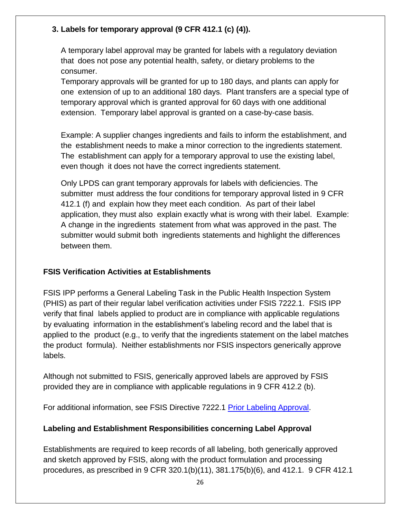# <span id="page-25-0"></span>**3. Labels for temporary approval (9 CFR 412.1 (c) (4)).**

A temporary label approval may be granted for labels with a regulatory deviation that does not pose any potential health, safety, or dietary problems to the consumer.

Temporary approvals will be granted for up to 180 days, and plants can apply for one extension of up to an additional 180 days. Plant transfers are a special type of temporary approval which is granted approval for 60 days with one additional extension. Temporary label approval is granted on a case-by-case basis.

Example: A supplier changes ingredients and fails to inform the establishment, and the establishment needs to make a minor correction to the ingredients statement. The establishment can apply for a temporary approval to use the existing label, even though it does not have the correct ingredients statement.

Only LPDS can grant temporary approvals for labels with deficiencies. The submitter must address the four conditions for temporary approval listed in 9 CFR 412.1 (f) and explain how they meet each condition. As part of their label application, they must also explain exactly what is wrong with their label. Example: A change in the ingredients statement from what was approved in the past. The submitter would submit both ingredients statements and highlight the differences between them.

#### **FSIS Verification Activities at Establishments**

labels. FSIS IPP performs a General Labeling Task in the Public Health Inspection System (PHIS) as part of their regular label verification activities under FSIS 7222.1. FSIS IPP verify that final labels applied to product are in compliance with applicable regulations by evaluating information in the establishment's labeling record and the label that is applied to the product (e.g., to verify that the ingredients statement on the label matches the product formula). Neither establishments nor FSIS inspectors generically approve

Although not submitted to FSIS, generically approved labels are approved by FSIS provided they are in compliance with applicable regulations in 9 CFR 412.2 (b).

For additional information, see FSIS Directive 7222.1 [Prior Labeling Approval.](https://www.fsis.usda.gov/wps/wcm/connect/9a2ebc76-2d43-4658-841a-f810b1f65f04/7221.1.pdf?MOD=AJPERES)

#### **Labeling and Establishment Responsibilities concerning Label Approval**

Establishments are required to keep records of all labeling, both generically approved and sketch approved by FSIS, along with the product formulation and processing procedures, as prescribed in 9 CFR 320.1(b)(11), 381.175(b)(6), and 412.1. 9 CFR 412.1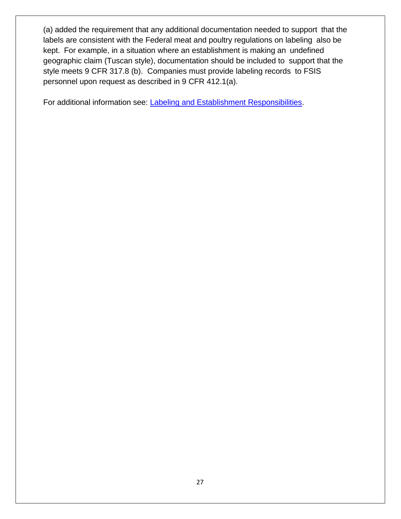(a) added the requirement that any additional documentation needed to support that the labels are consistent with the Federal meat and poultry regulations on labeling also be kept. For example, in a situation where an establishment is making an undefined geographic claim (Tuscan style), documentation should be included to support that the style meets 9 CFR 317.8 (b). Companies must provide labeling records to FSIS personnel upon request as described in 9 CFR 412.1(a).

For additional information see: [Labeling and Establishment Responsibilities.](https://www.fsis.usda.gov/wps/portal/fsis/topics/regulatory-compliance/labeling/labeling-procedures/labeling-and-establishment-responsibilities)